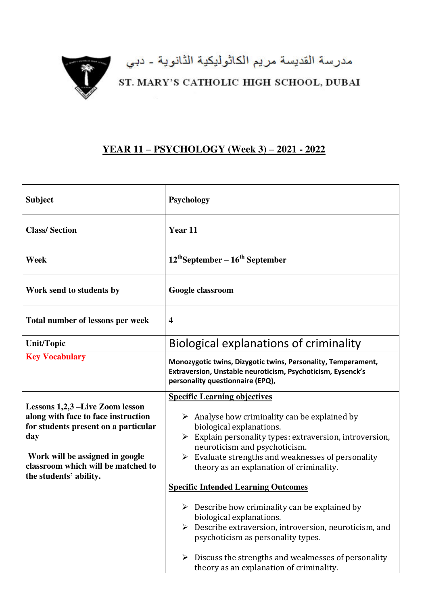

مدرسة القديسة مريم الكاثوليكية الثانوية - دبي<br>ST. MARY'S CATHOLIC HIGH SCHOOL, DUBAI

## **YEAR 11 – PSYCHOLOGY (Week 3) – 2021 - 2022**

| <b>Class/Section</b><br>Year 11<br>$12^{th}$ September – $16^{th}$ September<br>Week<br>Work send to students by<br>Google classroom<br>Total number of lessons per week<br>$\overline{\mathbf{4}}$<br>Biological explanations of criminality<br><b>Unit/Topic</b><br><b>Key Vocabulary</b><br>Monozygotic twins, Dizygotic twins, Personality, Temperament,<br>Extraversion, Unstable neuroticism, Psychoticism, Eysenck's<br>personality questionnaire (EPQ),<br><b>Specific Learning objectives</b><br>Lessons 1,2,3 –Live Zoom lesson<br>along with face to face instruction<br>$\triangleright$ Analyse how criminality can be explained by<br>for students present on a particular<br>biological explanations.<br>day<br>neuroticism and psychoticism.<br>Work will be assigned in google<br>Evaluate strengths and weaknesses of personality<br>➤<br>classroom which will be matched to<br>theory as an explanation of criminality.<br>the students' ability.<br><b>Specific Intended Learning Outcomes</b><br>$\triangleright$ Describe how criminality can be explained by | <b>Subject</b> | <b>Psychology</b>                                                                 |
|-------------------------------------------------------------------------------------------------------------------------------------------------------------------------------------------------------------------------------------------------------------------------------------------------------------------------------------------------------------------------------------------------------------------------------------------------------------------------------------------------------------------------------------------------------------------------------------------------------------------------------------------------------------------------------------------------------------------------------------------------------------------------------------------------------------------------------------------------------------------------------------------------------------------------------------------------------------------------------------------------------------------------------------------------------------------------------------|----------------|-----------------------------------------------------------------------------------|
|                                                                                                                                                                                                                                                                                                                                                                                                                                                                                                                                                                                                                                                                                                                                                                                                                                                                                                                                                                                                                                                                                     |                |                                                                                   |
|                                                                                                                                                                                                                                                                                                                                                                                                                                                                                                                                                                                                                                                                                                                                                                                                                                                                                                                                                                                                                                                                                     |                |                                                                                   |
|                                                                                                                                                                                                                                                                                                                                                                                                                                                                                                                                                                                                                                                                                                                                                                                                                                                                                                                                                                                                                                                                                     |                |                                                                                   |
|                                                                                                                                                                                                                                                                                                                                                                                                                                                                                                                                                                                                                                                                                                                                                                                                                                                                                                                                                                                                                                                                                     |                |                                                                                   |
|                                                                                                                                                                                                                                                                                                                                                                                                                                                                                                                                                                                                                                                                                                                                                                                                                                                                                                                                                                                                                                                                                     |                |                                                                                   |
|                                                                                                                                                                                                                                                                                                                                                                                                                                                                                                                                                                                                                                                                                                                                                                                                                                                                                                                                                                                                                                                                                     |                |                                                                                   |
|                                                                                                                                                                                                                                                                                                                                                                                                                                                                                                                                                                                                                                                                                                                                                                                                                                                                                                                                                                                                                                                                                     |                |                                                                                   |
|                                                                                                                                                                                                                                                                                                                                                                                                                                                                                                                                                                                                                                                                                                                                                                                                                                                                                                                                                                                                                                                                                     |                | $\triangleright$ Explain personality types: extraversion, introversion,           |
|                                                                                                                                                                                                                                                                                                                                                                                                                                                                                                                                                                                                                                                                                                                                                                                                                                                                                                                                                                                                                                                                                     |                |                                                                                   |
|                                                                                                                                                                                                                                                                                                                                                                                                                                                                                                                                                                                                                                                                                                                                                                                                                                                                                                                                                                                                                                                                                     |                |                                                                                   |
| psychoticism as personality types.<br>Discuss the strengths and weaknesses of personality<br>theory as an explanation of criminality.                                                                                                                                                                                                                                                                                                                                                                                                                                                                                                                                                                                                                                                                                                                                                                                                                                                                                                                                               |                | biological explanations.<br>Describe extraversion, introversion, neuroticism, and |